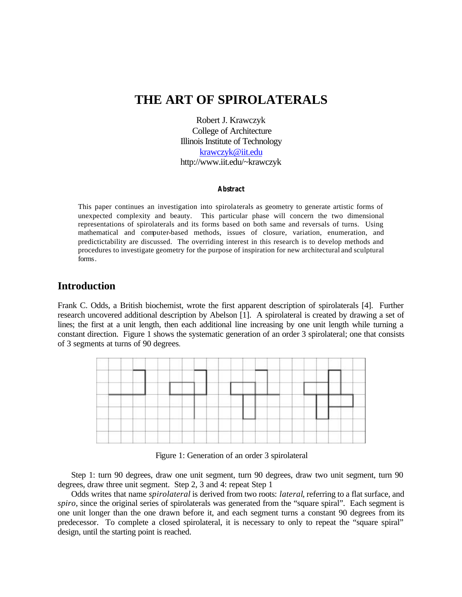# **THE ART OF SPIROLATERALS**

Robert J. Krawczyk College of Architecture Illinois Institute of Technology krawczyk@iit.edu http://www.iit.edu/~krawczyk

#### **Abstract**

This paper continues an investigation into spirolaterals as geometry to generate artistic forms of unexpected complexity and beauty. This particular phase will concern the two dimensional representations of spirolaterals and its forms based on both same and reversals of turns. Using mathematical and computer-based methods, issues of closure, variation, enumeration, and predictictability are discussed. The overriding interest in this research is to develop methods and procedures to investigate geometry for the purpose of inspiration for new architectural and sculptural forms*.* 

#### **Introduction**

Frank C. Odds, a British biochemist, wrote the first apparent description of spirolaterals [4]. Further research uncovered additional description by Abelson [1]. A spirolateral is created by drawing a set of lines; the first at a unit length, then each additional line increasing by one unit length while turning a constant direction. Figure 1 shows the systematic generation of an order 3 spirolateral; one that consists of 3 segments at turns of 90 degrees.



Figure 1: Generation of an order 3 spirolateral

Step 1: turn 90 degrees, draw one unit segment, turn 90 degrees, draw two unit segment, turn 90 degrees, draw three unit segment. Step 2, 3 and 4: repeat Step 1

Odds writes that name *spirolateral* is derived from two roots: *lateral*, referring to a flat surface, and *spiro*, since the original series of spirolaterals was generated from the "square spiral". Each segment is one unit longer than the one drawn before it, and each segment turns a constant 90 degrees from its predecessor. To complete a closed spirolateral, it is necessary to only to repeat the "square spiral" design, until the starting point is reached.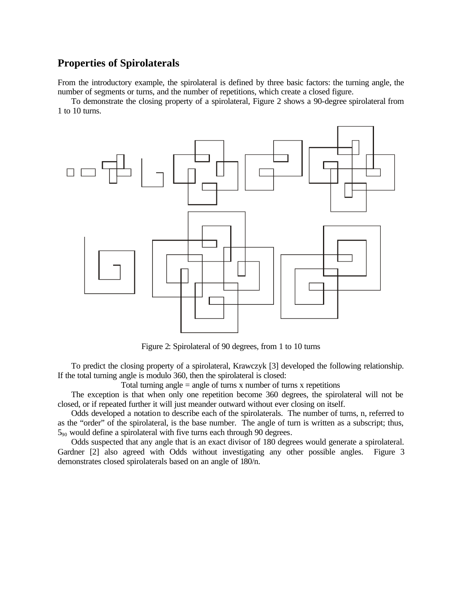# **Properties of Spirolaterals**

From the introductory example, the spirolateral is defined by three basic factors: the turning angle, the number of segments or turns, and the number of repetitions, which create a closed figure.

To demonstrate the closing property of a spirolateral, Figure 2 shows a 90-degree spirolateral from 1 to 10 turns.



Figure 2: Spirolateral of 90 degrees, from 1 to 10 turns

To predict the closing property of a spirolateral, Krawczyk [3] developed the following relationship. If the total turning angle is modulo 360, then the spirolateral is closed:

Total turning angle  $=$  angle of turns x number of turns x repetitions

The exception is that when only one repetition become 360 degrees, the spirolateral will not be closed, or if repeated further it will just meander outward without ever closing on itself.

Odds developed a notation to describe each of the spirolaterals. The number of turns, n, referred to as the "order" of the spirolateral, is the base number. The angle of turn is written as a subscript; thus,  $5_{90}$  would define a spirolateral with five turns each through 90 degrees.

Odds suspected that any angle that is an exact divisor of 180 degrees would generate a spirolateral. Gardner [2] also agreed with Odds without investigating any other possible angles. Figure 3 demonstrates closed spirolaterals based on an angle of 180/n.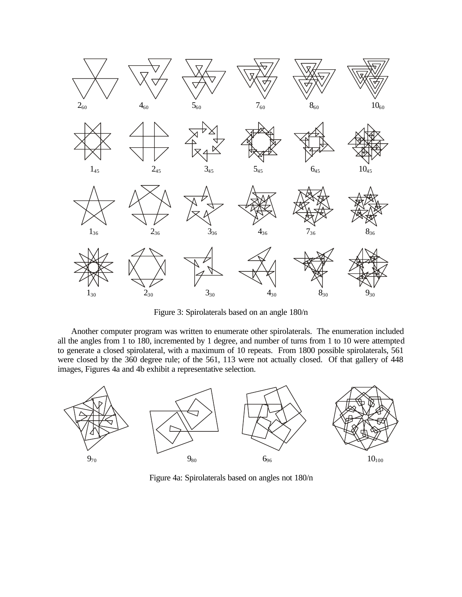

Figure 3: Spirolaterals based on an angle 180/n

Another computer program was written to enumerate other spirolaterals. The enumeration included all the angles from 1 to 180, incremented by 1 degree, and number of turns from 1 to 10 were attempted to generate a closed spirolateral, with a maximum of 10 repeats. From 1800 possible spirolaterals, 561 were closed by the 360 degree rule; of the 561, 113 were not actually closed. Of that gallery of 448 images, Figures 4a and 4b exhibit a representative selection.



Figure 4a: Spirolaterals based on angles not 180/n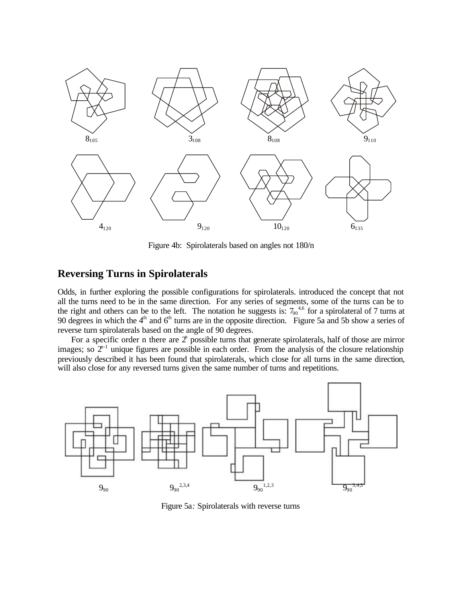

Figure 4b: Spirolaterals based on angles not 180/n

### **Reversing Turns in Spirolaterals**

Odds, in further exploring the possible configurations for spirolaterals. introduced the concept that not all the turns need to be in the same direction. For any series of segments, some of the turns can be to the right and others can be to the left. The notation he suggests is:  $7_{90}^{4,6}$  for a spirolateral of 7 turns at 90 degrees in which the  $4<sup>th</sup>$  and  $6<sup>th</sup>$  turns are in the opposite direction. Figure 5a and 5b show a series of reverse turn spirolaterals based on the angle of 90 degrees.

For a specific order n there are  $2^n$  possible turns that generate spirolaterals, half of those are mirror images; so  $2^{n-1}$  unique figures are possible in each order. From the analysis of the closure relationship previously described it has been found that spirolaterals, which close for all turns in the same direction, will also close for any reversed turns given the same number of turns and repetitions.



Figure 5a*:* Spirolaterals with reverse turns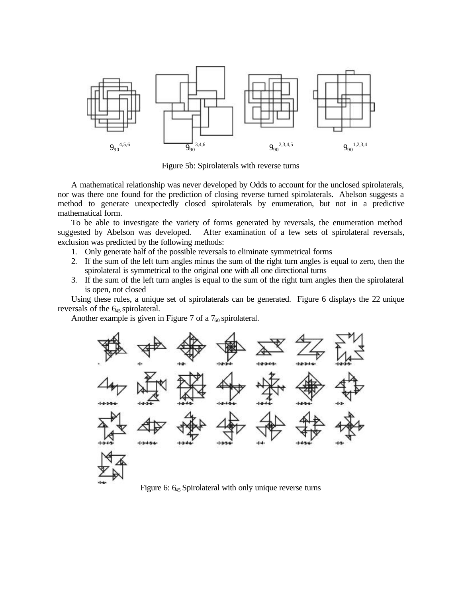

Figure 5b: Spirolaterals with reverse turns

A mathematical relationship was never developed by Odds to account for the unclosed spirolaterals, nor was there one found for the prediction of closing reverse turned spirolaterals. Abelson suggests a method to generate unexpectedly closed spirolaterals by enumeration, but not in a predictive mathematical form.

To be able to investigate the variety of forms generated by reversals, the enumeration method suggested by Abelson was developed. After examination of a few sets of spirolateral reversals, exclusion was predicted by the following methods:

- 1. Only generate half of the possible reversals to eliminate symmetrical forms
- 2. If the sum of the left turn angles minus the sum of the right turn angles is equal to zero, then the spirolateral is symmetrical to the original one with all one directional turns
- 3. If the sum of the left turn angles is equal to the sum of the right turn angles then the spirolateral is open, not closed

Using these rules, a unique set of spirolaterals can be generated. Figure 6 displays the 22 unique reversals of the  $6<sub>45</sub>$  spirolateral.

Another example is given in Figure 7 of a  $7_{60}$  spirolateral.



Figure 6:  $6_{45}$  Spirolateral with only unique reverse turns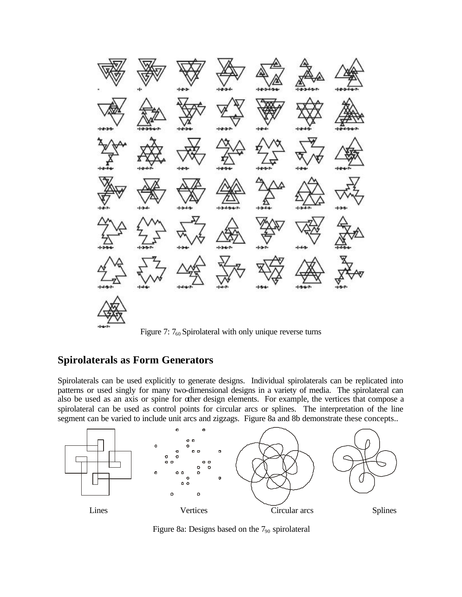

Figure 7:  $7_{60}$  Spirolateral with only unique reverse turns

# **Spirolaterals as Form Generators**

Spirolaterals can be used explicitly to generate designs. Individual spirolaterals can be replicated into patterns or used singly for many two-dimensional designs in a variety of media. The spirolateral can also be used as an axis or spine for other design elements. For example, the vertices that compose a spirolateral can be used as control points for circular arcs or splines. The interpretation of the line segment can be varied to include unit arcs and zigzags. Figure 8a and 8b demonstrate these concepts..



Figure 8a: Designs based on the 7<sub>90</sub> spirolateral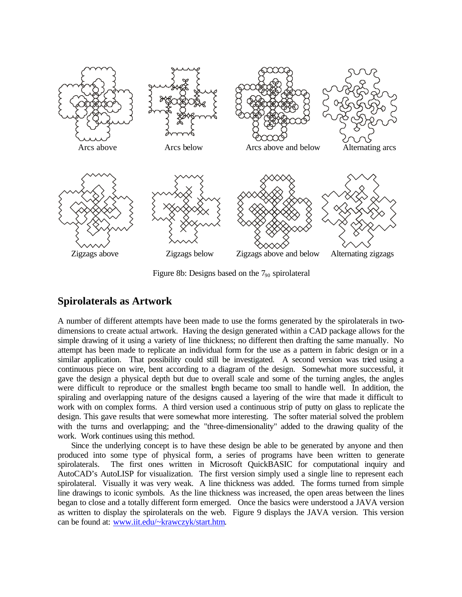

Figure 8b: Designs based on the  $7_{90}$  spirolateral

#### **Spirolaterals as Artwork**

A number of different attempts have been made to use the forms generated by the spirolaterals in twodimensions to create actual artwork. Having the design generated within a CAD package allows for the simple drawing of it using a variety of line thickness; no different then drafting the same manually. No attempt has been made to replicate an individual form for the use as a pattern in fabric design or in a similar application. That possibility could still be investigated. A second version was tried using a continuous piece on wire, bent according to a diagram of the design. Somewhat more successful, it gave the design a physical depth but due to overall scale and some of the turning angles, the angles were difficult to reproduce or the smallest length became too small to handle well. In addition, the spiraling and overlapping nature of the designs caused a layering of the wire that made it difficult to work with on complex forms. A third version used a continuous strip of putty on glass to replicate the design. This gave results that were somewhat more interesting. The softer material solved the problem with the turns and overlapping; and the "three-dimensionality" added to the drawing quality of the work. Work continues using this method.

Since the underlying concept is to have these design be able to be generated by anyone and then produced into some type of physical form, a series of programs have been written to generate spirolaterals. The first ones written in Microsoft QuickBASIC for computational inquiry and AutoCAD's AutoLISP for visualization. The first version simply used a single line to represent each spirolateral. Visually it was very weak. A line thickness was added. The forms turned from simple line drawings to iconic symbols. As the line thickness was increased, the open areas between the lines began to close and a totally different form emerged. Once the basics were understood a JAVA version as written to display the spirolaterals on the web. Figure 9 displays the JAVA version. This version can be found at: www.iit.edu/~krawczyk/start.htm.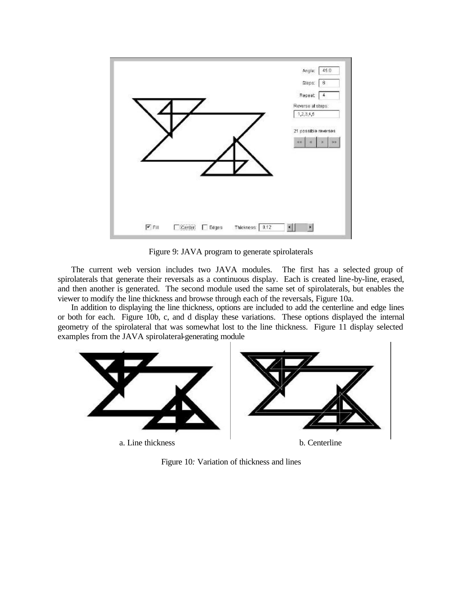

Figure 9: JAVA program to generate spirolaterals

The current web version includes two JAVA modules. The first has a selected group of spirolaterals that generate their reversals as a continuous display. Each is created line-by-line, erased, and then another is generated. The second module used the same set of spirolaterals, but enables the viewer to modify the line thickness and browse through each of the reversals, Figure 10a.

In addition to displaying the line thickness, options are included to add the centerline and edge lines or both for each. Figure 10b, c, and d display these variations. These options displayed the internal geometry of the spirolateral that was somewhat lost to the line thickness. Figure 11 display selected examples from the JAVA spirolateral-generating module



Figure 10*:* Variation of thickness and lines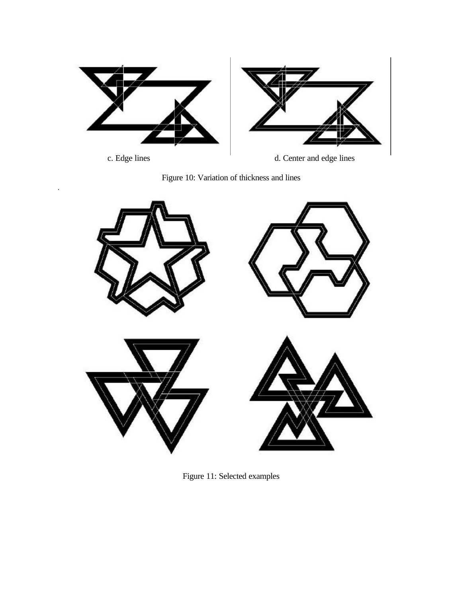

.

c. Edge lines d. Center and edge lines

![](_page_8_Figure_3.jpeg)

![](_page_8_Picture_4.jpeg)

Figure 11: Selected examples